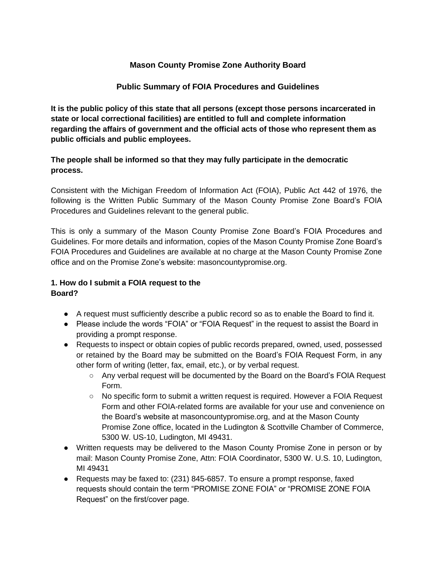### **Mason County Promise Zone Authority Board**

### **Public Summary of FOIA Procedures and Guidelines**

**It is the public policy of this state that all persons (except those persons incarcerated in state or local correctional facilities) are entitled to full and complete information regarding the affairs of government and the official acts of those who represent them as public officials and public employees.** 

### **The people shall be informed so that they may fully participate in the democratic process.**

Consistent with the Michigan Freedom of Information Act (FOIA), Public Act 442 of 1976, the following is the Written Public Summary of the Mason County Promise Zone Board's FOIA Procedures and Guidelines relevant to the general public.

This is only a summary of the Mason County Promise Zone Board's FOIA Procedures and Guidelines. For more details and information, copies of the Mason County Promise Zone Board's FOIA Procedures and Guidelines are available at no charge at the Mason County Promise Zone office and on the Promise Zone's website: masoncountypromise.org.

#### **1. How do I submit a FOIA request to the Board?**

- A request must sufficiently describe a public record so as to enable the Board to find it.
- Please include the words "FOIA" or "FOIA Request" in the request to assist the Board in providing a prompt response.
- Requests to inspect or obtain copies of public records prepared, owned, used, possessed or retained by the Board may be submitted on the Board's FOIA Request Form, in any other form of writing (letter, fax, email, etc.), or by verbal request.
	- Any verbal request will be documented by the Board on the Board's FOIA Request Form.
	- No specific form to submit a written request is required. However a FOIA Request Form and other FOIA-related forms are available for your use and convenience on the Board's website at masoncountypromise.org, and at the Mason County Promise Zone office, located in the Ludington & Scottville Chamber of Commerce, 5300 W. US-10, Ludington, MI 49431.
- Written requests may be delivered to the Mason County Promise Zone in person or by mail: Mason County Promise Zone, Attn: FOIA Coordinator, 5300 W. U.S. 10, Ludington, MI 49431
- Requests may be faxed to: (231) 845-6857. To ensure a prompt response, faxed requests should contain the term "PROMISE ZONE FOIA" or "PROMISE ZONE FOIA Request" on the first/cover page.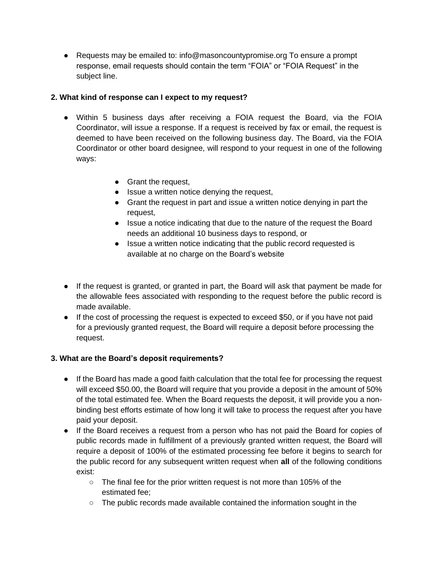● Requests may be emailed to: info@masoncountypromise.org To ensure a prompt response, email requests should contain the term "FOIA" or "FOIA Request" in the subject line.

### **2. What kind of response can I expect to my request?**

- Within 5 business days after receiving a FOIA request the Board, via the FOIA Coordinator, will issue a response. If a request is received by fax or email, the request is deemed to have been received on the following business day. The Board, via the FOIA Coordinator or other board designee, will respond to your request in one of the following ways:
	- Grant the request,
	- Issue a written notice denying the request,
	- Grant the request in part and issue a written notice denying in part the request,
	- Issue a notice indicating that due to the nature of the request the Board needs an additional 10 business days to respond, or
	- Issue a written notice indicating that the public record requested is available at no charge on the Board's website
- If the request is granted, or granted in part, the Board will ask that payment be made for the allowable fees associated with responding to the request before the public record is made available.
- If the cost of processing the request is expected to exceed \$50, or if you have not paid for a previously granted request, the Board will require a deposit before processing the request.

# **3. What are the Board's deposit requirements?**

- If the Board has made a good faith calculation that the total fee for processing the request will exceed \$50.00, the Board will require that you provide a deposit in the amount of 50% of the total estimated fee. When the Board requests the deposit, it will provide you a nonbinding best efforts estimate of how long it will take to process the request after you have paid your deposit.
- If the Board receives a request from a person who has not paid the Board for copies of public records made in fulfillment of a previously granted written request, the Board will require a deposit of 100% of the estimated processing fee before it begins to search for the public record for any subsequent written request when **all** of the following conditions exist:
	- The final fee for the prior written request is not more than 105% of the estimated fee;
	- The public records made available contained the information sought in the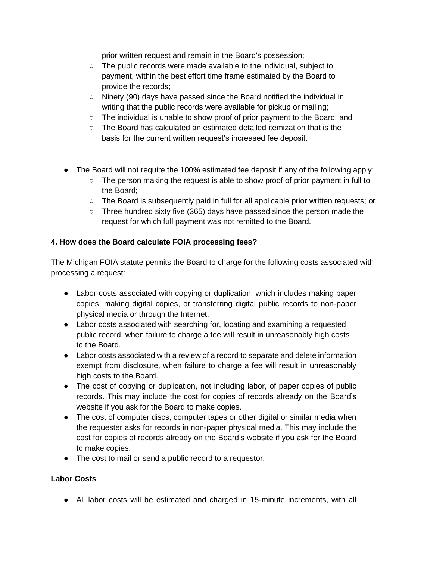prior written request and remain in the Board's possession;

- The public records were made available to the individual, subject to payment, within the best effort time frame estimated by the Board to provide the records;
- $\circ$  Ninety (90) days have passed since the Board notified the individual in writing that the public records were available for pickup or mailing;
- The individual is unable to show proof of prior payment to the Board; and
- The Board has calculated an estimated detailed itemization that is the basis for the current written request's increased fee deposit.
- The Board will not require the 100% estimated fee deposit if any of the following apply:
	- The person making the request is able to show proof of prior payment in full to the Board;
	- The Board is subsequently paid in full for all applicable prior written requests; or
	- $\circ$  Three hundred sixty five (365) days have passed since the person made the request for which full payment was not remitted to the Board.

## **4. How does the Board calculate FOIA processing fees?**

The Michigan FOIA statute permits the Board to charge for the following costs associated with processing a request:

- Labor costs associated with copying or duplication, which includes making paper copies, making digital copies, or transferring digital public records to non-paper physical media or through the Internet.
- Labor costs associated with searching for, locating and examining a requested public record, when failure to charge a fee will result in unreasonably high costs to the Board.
- Labor costs associated with a review of a record to separate and delete information exempt from disclosure, when failure to charge a fee will result in unreasonably high costs to the Board.
- The cost of copying or duplication, not including labor, of paper copies of public records. This may include the cost for copies of records already on the Board's website if you ask for the Board to make copies.
- The cost of computer discs, computer tapes or other digital or similar media when the requester asks for records in non-paper physical media. This may include the cost for copies of records already on the Board's website if you ask for the Board to make copies.
- The cost to mail or send a public record to a requestor.

### **Labor Costs**

● All labor costs will be estimated and charged in 15-minute increments, with all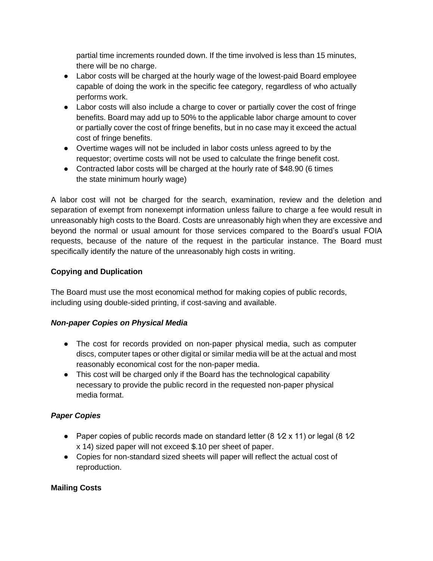partial time increments rounded down. If the time involved is less than 15 minutes, there will be no charge.

- Labor costs will be charged at the hourly wage of the lowest-paid Board employee capable of doing the work in the specific fee category, regardless of who actually performs work.
- Labor costs will also include a charge to cover or partially cover the cost of fringe benefits. Board may add up to 50% to the applicable labor charge amount to cover or partially cover the cost of fringe benefits, but in no case may it exceed the actual cost of fringe benefits.
- Overtime wages will not be included in labor costs unless agreed to by the requestor; overtime costs will not be used to calculate the fringe benefit cost.
- Contracted labor costs will be charged at the hourly rate of \$48.90 (6 times the state minimum hourly wage)

A labor cost will not be charged for the search, examination, review and the deletion and separation of exempt from nonexempt information unless failure to charge a fee would result in unreasonably high costs to the Board. Costs are unreasonably high when they are excessive and beyond the normal or usual amount for those services compared to the Board's usual FOIA requests, because of the nature of the request in the particular instance. The Board must specifically identify the nature of the unreasonably high costs in writing.

## **Copying and Duplication**

The Board must use the most economical method for making copies of public records, including using double-sided printing, if cost-saving and available.

### *Non-paper Copies on Physical Media*

- The cost for records provided on non-paper physical media, such as computer discs, computer tapes or other digital or similar media will be at the actual and most reasonably economical cost for the non-paper media.
- This cost will be charged only if the Board has the technological capability necessary to provide the public record in the requested non-paper physical media format.

# *Paper Copies*

- Paper copies of public records made on standard letter  $(8 \frac{1}{2} \times 11)$  or legal  $(8 \frac{1}{2} \times 11)$ x 14) sized paper will not exceed \$.10 per sheet of paper.
- Copies for non-standard sized sheets will paper will reflect the actual cost of reproduction.

### **Mailing Costs**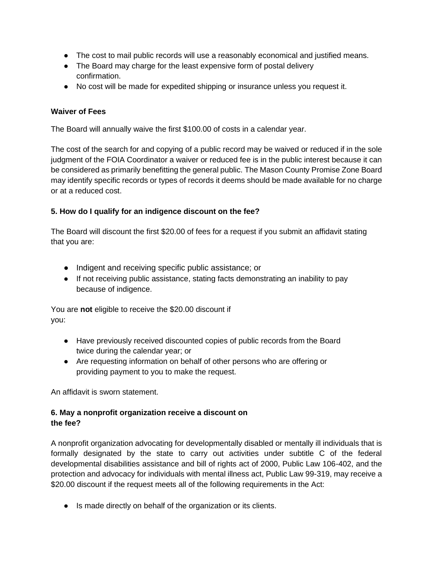- The cost to mail public records will use a reasonably economical and justified means.
- The Board may charge for the least expensive form of postal delivery confirmation.
- No cost will be made for expedited shipping or insurance unless you request it.

### **Waiver of Fees**

The Board will annually waive the first \$100.00 of costs in a calendar year.

The cost of the search for and copying of a public record may be waived or reduced if in the sole judgment of the FOIA Coordinator a waiver or reduced fee is in the public interest because it can be considered as primarily benefitting the general public. The Mason County Promise Zone Board may identify specific records or types of records it deems should be made available for no charge or at a reduced cost.

### **5. How do I qualify for an indigence discount on the fee?**

The Board will discount the first \$20.00 of fees for a request if you submit an affidavit stating that you are:

- Indigent and receiving specific public assistance; or
- If not receiving public assistance, stating facts demonstrating an inability to pay because of indigence.

You are **not** eligible to receive the \$20.00 discount if you:

- Have previously received discounted copies of public records from the Board twice during the calendar year; or
- Are requesting information on behalf of other persons who are offering or providing payment to you to make the request.

An affidavit is sworn statement.

### **6. May a nonprofit organization receive a discount on the fee?**

A nonprofit organization advocating for developmentally disabled or mentally ill individuals that is formally designated by the state to carry out activities under subtitle C of the federal developmental disabilities assistance and bill of rights act of 2000, Public Law 106-402, and the protection and advocacy for individuals with mental illness act, Public Law 99-319, may receive a \$20.00 discount if the request meets all of the following requirements in the Act:

● Is made directly on behalf of the organization or its clients.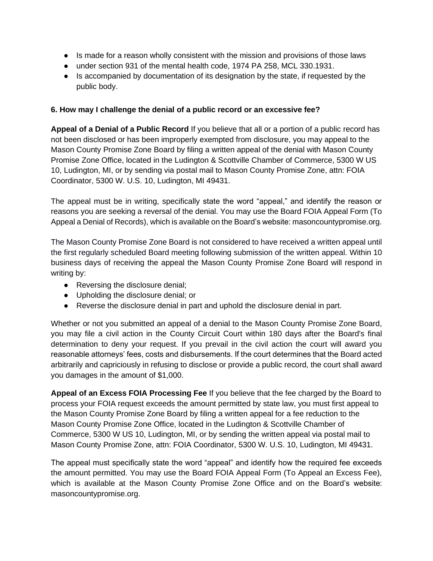- Is made for a reason wholly consistent with the mission and provisions of those laws
- under section 931 of the mental health code, 1974 PA 258, MCL 330.1931.
- Is accompanied by documentation of its designation by the state, if requested by the public body.

#### **6. How may I challenge the denial of a public record or an excessive fee?**

**Appeal of a Denial of a Public Record** If you believe that all or a portion of a public record has not been disclosed or has been improperly exempted from disclosure, you may appeal to the Mason County Promise Zone Board by filing a written appeal of the denial with Mason County Promise Zone Office, located in the Ludington & Scottville Chamber of Commerce, 5300 W US 10, Ludington, MI, or by sending via postal mail to Mason County Promise Zone, attn: FOIA Coordinator, 5300 W. U.S. 10, Ludington, MI 49431.

The appeal must be in writing, specifically state the word "appeal," and identify the reason or reasons you are seeking a reversal of the denial. You may use the Board FOIA Appeal Form (To Appeal a Denial of Records), which is available on the Board's website: masoncountypromise.org.

The Mason County Promise Zone Board is not considered to have received a written appeal until the first regularly scheduled Board meeting following submission of the written appeal. Within 10 business days of receiving the appeal the Mason County Promise Zone Board will respond in writing by:

- Reversing the disclosure denial;
- Upholding the disclosure denial; or
- Reverse the disclosure denial in part and uphold the disclosure denial in part.

Whether or not you submitted an appeal of a denial to the Mason County Promise Zone Board, you may file a civil action in the County Circuit Court within 180 days after the Board's final determination to deny your request. If you prevail in the civil action the court will award you reasonable attorneys' fees, costs and disbursements. If the court determines that the Board acted arbitrarily and capriciously in refusing to disclose or provide a public record, the court shall award you damages in the amount of \$1,000.

**Appeal of an Excess FOIA Processing Fee** If you believe that the fee charged by the Board to process your FOIA request exceeds the amount permitted by state law, you must first appeal to the Mason County Promise Zone Board by filing a written appeal for a fee reduction to the Mason County Promise Zone Office, located in the Ludington & Scottville Chamber of Commerce, 5300 W US 10, Ludington, MI, or by sending the written appeal via postal mail to Mason County Promise Zone, attn: FOIA Coordinator, 5300 W. U.S. 10, Ludington, MI 49431.

The appeal must specifically state the word "appeal" and identify how the required fee exceeds the amount permitted. You may use the Board FOIA Appeal Form (To Appeal an Excess Fee), which is available at the Mason County Promise Zone Office and on the Board's website: masoncountypromise.org.